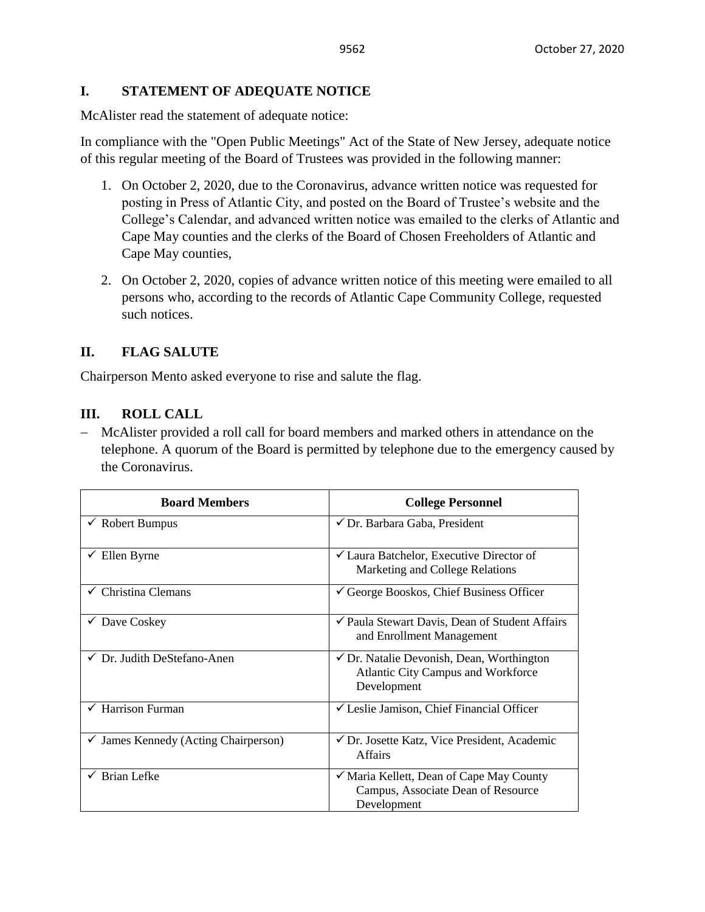## **I. STATEMENT OF ADEQUATE NOTICE**

McAlister read the statement of adequate notice:

In compliance with the "Open Public Meetings" Act of the State of New Jersey, adequate notice of this regular meeting of the Board of Trustees was provided in the following manner:

- 1. On October 2, 2020, due to the Coronavirus, advance written notice was requested for posting in Press of Atlantic City, and posted on the Board of Trustee's website and the College's Calendar, and advanced written notice was emailed to the clerks of Atlantic and Cape May counties and the clerks of the Board of Chosen Freeholders of Atlantic and Cape May counties,
- 2. On October 2, 2020, copies of advance written notice of this meeting were emailed to all persons who, according to the records of Atlantic Cape Community College, requested such notices.

# **II. FLAG SALUTE**

Chairperson Mento asked everyone to rise and salute the flag.

## **III. ROLL CALL**

− McAlister provided a roll call for board members and marked others in attendance on the telephone. A quorum of the Board is permitted by telephone due to the emergency caused by the Coronavirus.

| <b>Board Members</b>                    | <b>College Personnel</b>                                                                                         |  |
|-----------------------------------------|------------------------------------------------------------------------------------------------------------------|--|
| $\checkmark$ Robert Bumpus              | $\checkmark$ Dr. Barbara Gaba, President                                                                         |  |
| Ellen Byrne                             | $\checkmark$ Laura Batchelor, Executive Director of<br>Marketing and College Relations                           |  |
| $\checkmark$ Christina Clemans          | $\checkmark$ George Booskos, Chief Business Officer                                                              |  |
| $\checkmark$ Dave Coskey                | √ Paula Stewart Davis, Dean of Student Affairs<br>and Enrollment Management                                      |  |
| $\checkmark$ Dr. Judith DeStefano-Anen  | $\checkmark$ Dr. Natalie Devonish, Dean, Worthington<br><b>Atlantic City Campus and Workforce</b><br>Development |  |
| Harrison Furman<br>✓                    | $\checkmark$ Leslie Jamison, Chief Financial Officer                                                             |  |
| James Kennedy (Acting Chairperson)<br>✓ | ✔ Dr. Josette Katz, Vice President, Academic<br><b>Affairs</b>                                                   |  |
| $\checkmark$ Brian Lefke                | ✓ Maria Kellett, Dean of Cape May County<br>Campus, Associate Dean of Resource<br>Development                    |  |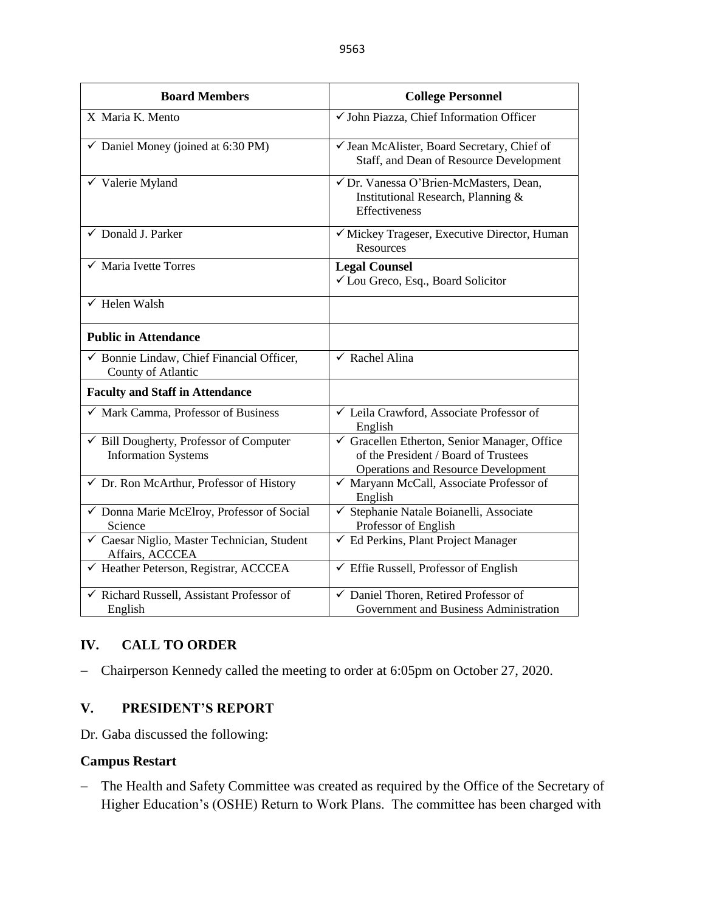| <b>Board Members</b>                                                       | <b>College Personnel</b>                                                                                                         |  |  |
|----------------------------------------------------------------------------|----------------------------------------------------------------------------------------------------------------------------------|--|--|
| X Maria K. Mento                                                           | √ John Piazza, Chief Information Officer                                                                                         |  |  |
| $\checkmark$ Daniel Money (joined at 6:30 PM)                              | √ Jean McAlister, Board Secretary, Chief of<br>Staff, and Dean of Resource Development                                           |  |  |
| $\checkmark$ Valerie Myland                                                | √ Dr. Vanessa O'Brien-McMasters, Dean,<br>Institutional Research, Planning &<br>Effectiveness                                    |  |  |
| √ Donald J. Parker                                                         | √ Mickey Trageser, Executive Director, Human<br>Resources                                                                        |  |  |
| $\checkmark$ Maria Ivette Torres                                           | <b>Legal Counsel</b><br>✓ Lou Greco, Esq., Board Solicitor                                                                       |  |  |
| $\checkmark$ Helen Walsh                                                   |                                                                                                                                  |  |  |
| <b>Public in Attendance</b>                                                |                                                                                                                                  |  |  |
| $\checkmark$ Bonnie Lindaw, Chief Financial Officer,<br>County of Atlantic | $\checkmark$ Rachel Alina                                                                                                        |  |  |
| <b>Faculty and Staff in Attendance</b>                                     |                                                                                                                                  |  |  |
| $\checkmark$ Mark Camma, Professor of Business                             | ✓ Leila Crawford, Associate Professor of<br>English                                                                              |  |  |
| Bill Dougherty, Professor of Computer<br><b>Information Systems</b>        | Gracellen Etherton, Senior Manager, Office<br>of the President / Board of Trustees<br><b>Operations and Resource Development</b> |  |  |
| ✔ Dr. Ron McArthur, Professor of History                                   | √ Maryann McCall, Associate Professor of<br>English                                                                              |  |  |
| √ Donna Marie McElroy, Professor of Social<br>Science                      | √ Stephanie Natale Boianelli, Associate<br>Professor of English                                                                  |  |  |
| √ Caesar Niglio, Master Technician, Student<br>Affairs, ACCCEA             | $\checkmark$ Ed Perkins, Plant Project Manager                                                                                   |  |  |
| √ Heather Peterson, Registrar, ACCCEA                                      | $\checkmark$ Effie Russell, Professor of English                                                                                 |  |  |
| √ Richard Russell, Assistant Professor of<br>English                       | √ Daniel Thoren, Retired Professor of<br>Government and Business Administration                                                  |  |  |

# **IV. CALL TO ORDER**

− Chairperson Kennedy called the meeting to order at 6:05pm on October 27, 2020.

# **V. PRESIDENT'S REPORT**

Dr. Gaba discussed the following:

## **Campus Restart**

− The Health and Safety Committee was created as required by the Office of the Secretary of Higher Education's (OSHE) Return to Work Plans. The committee has been charged with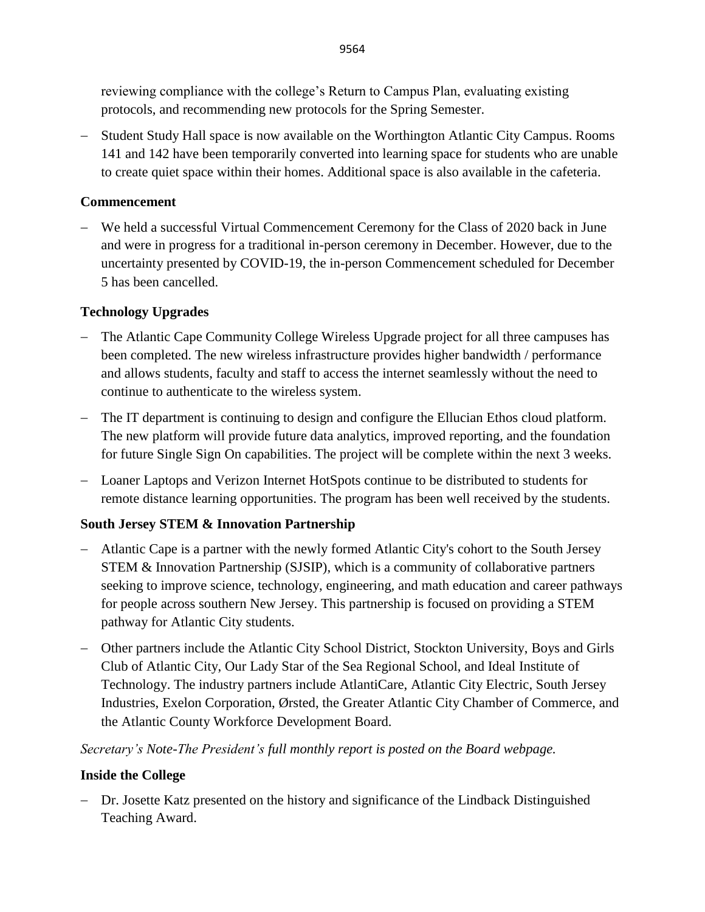reviewing compliance with the college's Return to Campus Plan, evaluating existing protocols, and recommending new protocols for the Spring Semester.

− Student Study Hall space is now available on the Worthington Atlantic City Campus. Rooms 141 and 142 have been temporarily converted into learning space for students who are unable to create quiet space within their homes. Additional space is also available in the cafeteria.

# **Commencement**

− We held a successful Virtual Commencement Ceremony for the Class of 2020 back in June and were in progress for a traditional in-person ceremony in December. However, due to the uncertainty presented by COVID-19, the in-person Commencement scheduled for December 5 has been cancelled.

# **Technology Upgrades**

- − The Atlantic Cape Community College Wireless Upgrade project for all three campuses has been completed. The new wireless infrastructure provides higher bandwidth / performance and allows students, faculty and staff to access the internet seamlessly without the need to continue to authenticate to the wireless system.
- − The IT department is continuing to design and configure the Ellucian Ethos cloud platform. The new platform will provide future data analytics, improved reporting, and the foundation for future Single Sign On capabilities. The project will be complete within the next 3 weeks.
- − Loaner Laptops and Verizon Internet HotSpots continue to be distributed to students for remote distance learning opportunities. The program has been well received by the students.

# **South Jersey STEM & Innovation Partnership**

- − Atlantic Cape is a partner with the newly formed Atlantic City's cohort to the South Jersey STEM & Innovation Partnership (SJSIP), which is a community of collaborative partners seeking to improve science, technology, engineering, and math education and career pathways for people across southern New Jersey. This partnership is focused on providing a STEM pathway for Atlantic City students.
- − Other partners include the Atlantic City School District, Stockton University, Boys and Girls Club of Atlantic City, Our Lady Star of the Sea Regional School, and Ideal Institute of Technology. The industry partners include AtlantiCare, Atlantic City Electric, South Jersey Industries, Exelon Corporation, Ørsted, the Greater Atlantic City Chamber of Commerce, and the Atlantic County Workforce Development Board.

*Secretary's Note-The President's full monthly report is posted on the Board webpage.*

# **Inside the College**

− Dr. Josette Katz presented on the history and significance of the Lindback Distinguished Teaching Award.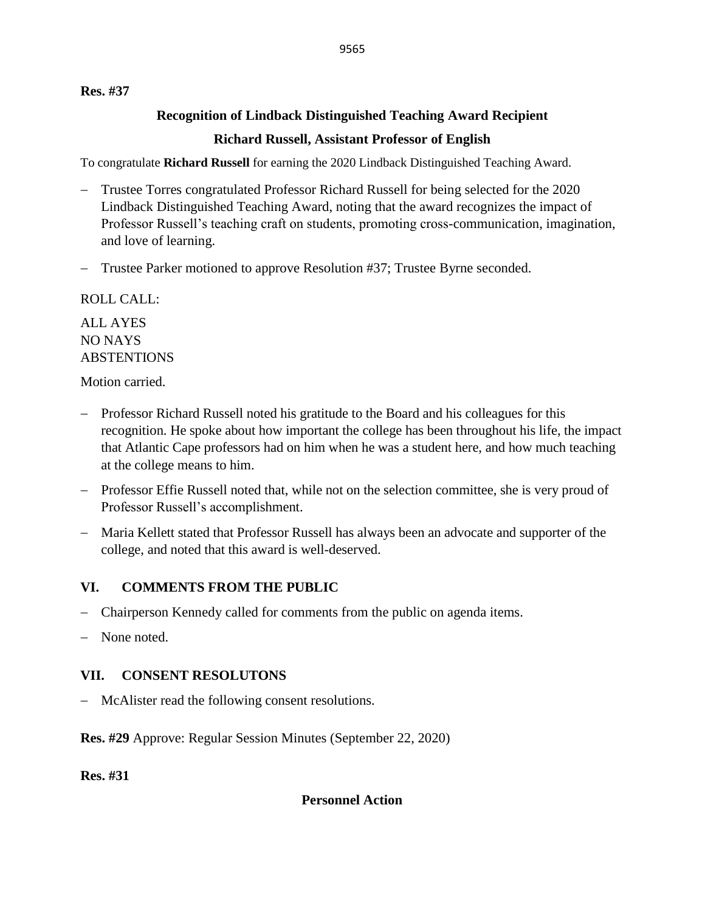## **Res. #37**

# **Recognition of Lindback Distinguished Teaching Award Recipient**

# **Richard Russell, Assistant Professor of English**

To congratulate **Richard Russell** for earning the 2020 Lindback Distinguished Teaching Award.

- − Trustee Torres congratulated Professor Richard Russell for being selected for the 2020 Lindback Distinguished Teaching Award, noting that the award recognizes the impact of Professor Russell's teaching craft on students, promoting cross-communication, imagination, and love of learning.
- − Trustee Parker motioned to approve Resolution #37; Trustee Byrne seconded.

ROLL CALL:

ALL AYES NO NAYS **ABSTENTIONS** 

Motion carried.

- − Professor Richard Russell noted his gratitude to the Board and his colleagues for this recognition. He spoke about how important the college has been throughout his life, the impact that Atlantic Cape professors had on him when he was a student here, and how much teaching at the college means to him.
- − Professor Effie Russell noted that, while not on the selection committee, she is very proud of Professor Russell's accomplishment.
- − Maria Kellett stated that Professor Russell has always been an advocate and supporter of the college, and noted that this award is well-deserved.

# **VI. COMMENTS FROM THE PUBLIC**

- − Chairperson Kennedy called for comments from the public on agenda items.
- None noted.

# **VII. CONSENT RESOLUTONS**

− McAlister read the following consent resolutions.

**Res. #29** Approve: Regular Session Minutes (September 22, 2020)

**Res. #31**

**Personnel Action**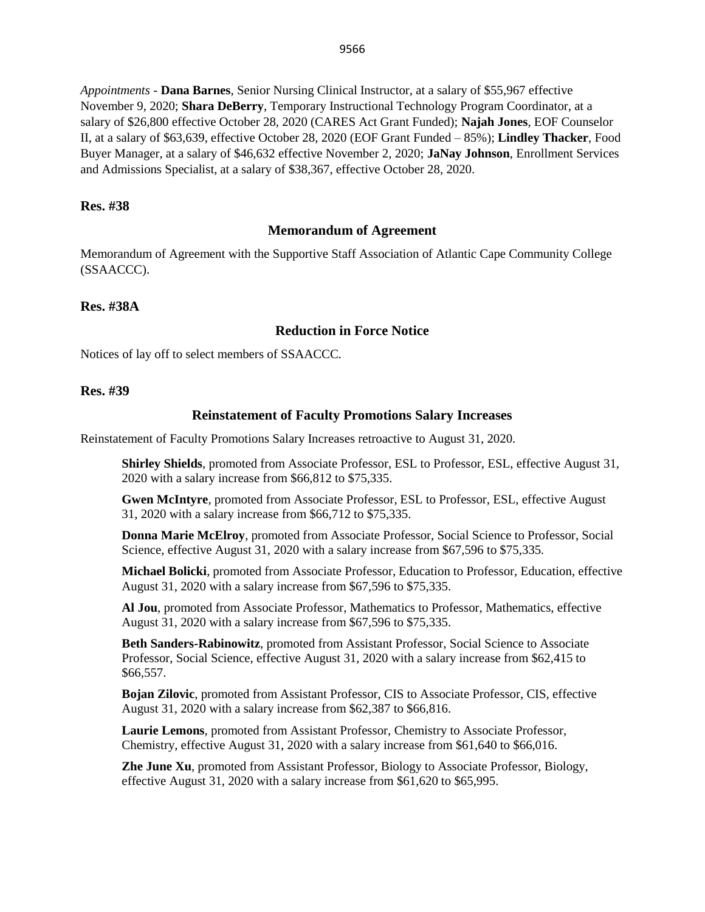*Appointments -* **Dana Barnes**, Senior Nursing Clinical Instructor, at a salary of \$55,967 effective November 9, 2020; **Shara DeBerry**, Temporary Instructional Technology Program Coordinator, at a salary of \$26,800 effective October 28, 2020 (CARES Act Grant Funded); **Najah Jones**, EOF Counselor II, at a salary of \$63,639, effective October 28, 2020 (EOF Grant Funded – 85%); **Lindley Thacker**, Food Buyer Manager, at a salary of \$46,632 effective November 2, 2020; **JaNay Johnson**, Enrollment Services and Admissions Specialist, at a salary of \$38,367, effective October 28, 2020.

#### **Res. #38**

#### **Memorandum of Agreement**

Memorandum of Agreement with the Supportive Staff Association of Atlantic Cape Community College (SSAACCC).

#### **Res. #38A**

#### **Reduction in Force Notice**

Notices of lay off to select members of SSAACCC*.*

#### **Res. #39**

#### **Reinstatement of Faculty Promotions Salary Increases**

Reinstatement of Faculty Promotions Salary Increases retroactive to August 31, 2020.

**Shirley Shields**, promoted from Associate Professor, ESL to Professor, ESL, effective August 31, 2020 with a salary increase from \$66,812 to \$75,335.

**Gwen McIntyre**, promoted from Associate Professor, ESL to Professor, ESL, effective August 31, 2020 with a salary increase from \$66,712 to \$75,335.

**Donna Marie McElroy**, promoted from Associate Professor, Social Science to Professor, Social Science, effective August 31, 2020 with a salary increase from \$67,596 to \$75,335.

**Michael Bolicki**, promoted from Associate Professor, Education to Professor, Education, effective August 31, 2020 with a salary increase from \$67,596 to \$75,335.

**Al Jou**, promoted from Associate Professor, Mathematics to Professor, Mathematics, effective August 31, 2020 with a salary increase from \$67,596 to \$75,335.

**Beth Sanders-Rabinowitz**, promoted from Assistant Professor, Social Science to Associate Professor, Social Science, effective August 31, 2020 with a salary increase from \$62,415 to \$66,557.

**Bojan Zilovic**, promoted from Assistant Professor, CIS to Associate Professor, CIS, effective August 31, 2020 with a salary increase from \$62,387 to \$66,816.

**Laurie Lemons**, promoted from Assistant Professor, Chemistry to Associate Professor, Chemistry, effective August 31, 2020 with a salary increase from \$61,640 to \$66,016.

**Zhe June Xu**, promoted from Assistant Professor, Biology to Associate Professor, Biology, effective August 31, 2020 with a salary increase from \$61,620 to \$65,995.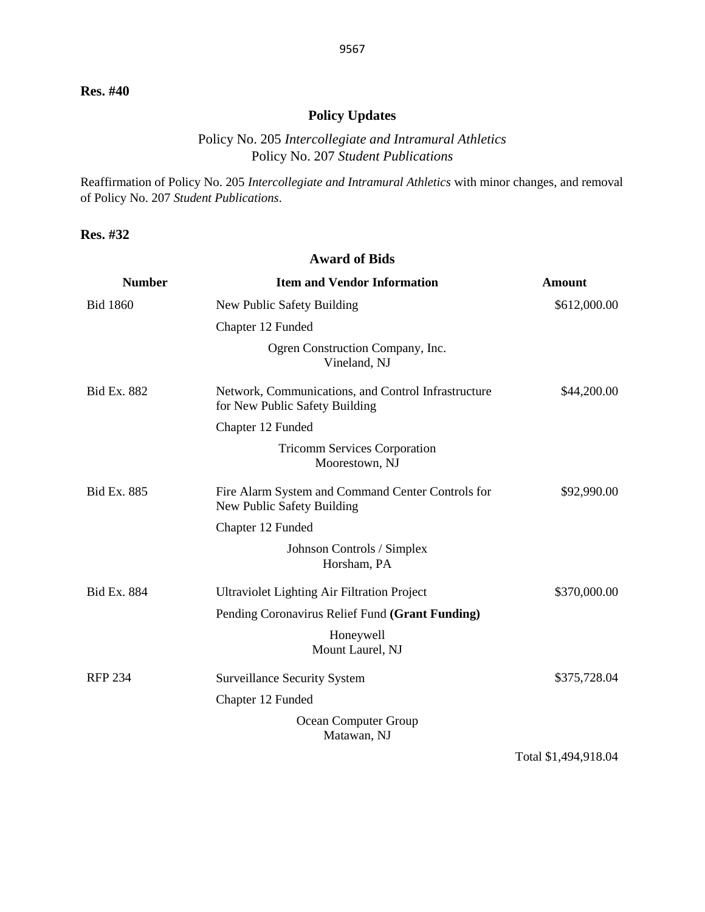# **Policy Updates**

# Policy No. 205 *Intercollegiate and Intramural Athletics* Policy No. 207 *Student Publications*

Reaffirmation of Policy No. 205 *Intercollegiate and Intramural Athletics* with minor changes, and removal of Policy No. 207 *Student Publications*.

**Award of Bids**

**Res. #32**

| <b>Number</b>      | <b>Item and Vendor Information</b>                                                    | <b>Amount</b> |
|--------------------|---------------------------------------------------------------------------------------|---------------|
| <b>Bid 1860</b>    | New Public Safety Building                                                            | \$612,000.00  |
|                    | Chapter 12 Funded                                                                     |               |
|                    | Ogren Construction Company, Inc.<br>Vineland, NJ                                      |               |
| <b>Bid Ex. 882</b> | Network, Communications, and Control Infrastructure<br>for New Public Safety Building | \$44,200.00   |
|                    | Chapter 12 Funded                                                                     |               |
|                    | <b>Tricomm Services Corporation</b><br>Moorestown, NJ                                 |               |
| <b>Bid Ex. 885</b> | Fire Alarm System and Command Center Controls for<br>New Public Safety Building       | \$92,990.00   |
|                    | Chapter 12 Funded                                                                     |               |
|                    | Johnson Controls / Simplex<br>Horsham, PA                                             |               |
| Bid Ex. 884        | Ultraviolet Lighting Air Filtration Project                                           | \$370,000.00  |
|                    | Pending Coronavirus Relief Fund (Grant Funding)                                       |               |
|                    | Honeywell<br>Mount Laurel, NJ                                                         |               |
| <b>RFP 234</b>     | <b>Surveillance Security System</b>                                                   | \$375,728.04  |
|                    | Chapter 12 Funded                                                                     |               |
|                    | Ocean Computer Group<br>Matawan, NJ                                                   |               |

Total \$1,494,918.04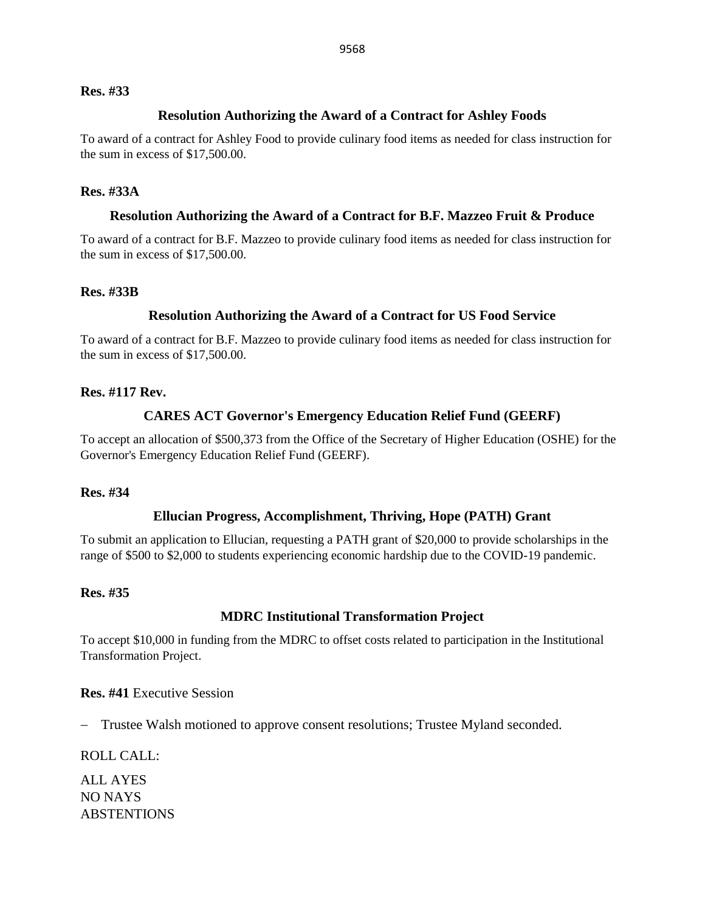#### **Res. #33**

### **Resolution Authorizing the Award of a Contract for Ashley Foods**

To award of a contract for Ashley Food to provide culinary food items as needed for class instruction for the sum in excess of \$17,500.00.

### **Res. #33A**

### **Resolution Authorizing the Award of a Contract for B.F. Mazzeo Fruit & Produce**

To award of a contract for B.F. Mazzeo to provide culinary food items as needed for class instruction for the sum in excess of \$17,500.00.

### **Res. #33B**

### **Resolution Authorizing the Award of a Contract for US Food Service**

To award of a contract for B.F. Mazzeo to provide culinary food items as needed for class instruction for the sum in excess of \$17,500.00.

### **Res. #117 Rev.**

### **CARES ACT Governor's Emergency Education Relief Fund (GEERF)**

To accept an allocation of \$500,373 from the Office of the Secretary of Higher Education (OSHE) for the Governor's Emergency Education Relief Fund (GEERF).

#### **Res. #34**

### **Ellucian Progress, Accomplishment, Thriving, Hope (PATH) Grant**

To submit an application to Ellucian, requesting a PATH grant of \$20,000 to provide scholarships in the range of \$500 to \$2,000 to students experiencing economic hardship due to the COVID-19 pandemic.

### **Res. #35**

#### **MDRC Institutional Transformation Project**

To accept \$10,000 in funding from the MDRC to offset costs related to participation in the Institutional Transformation Project.

**Res. #41** Executive Session

− Trustee Walsh motioned to approve consent resolutions; Trustee Myland seconded.

ROLL CALL:

ALL AYES NO NAYS ABSTENTIONS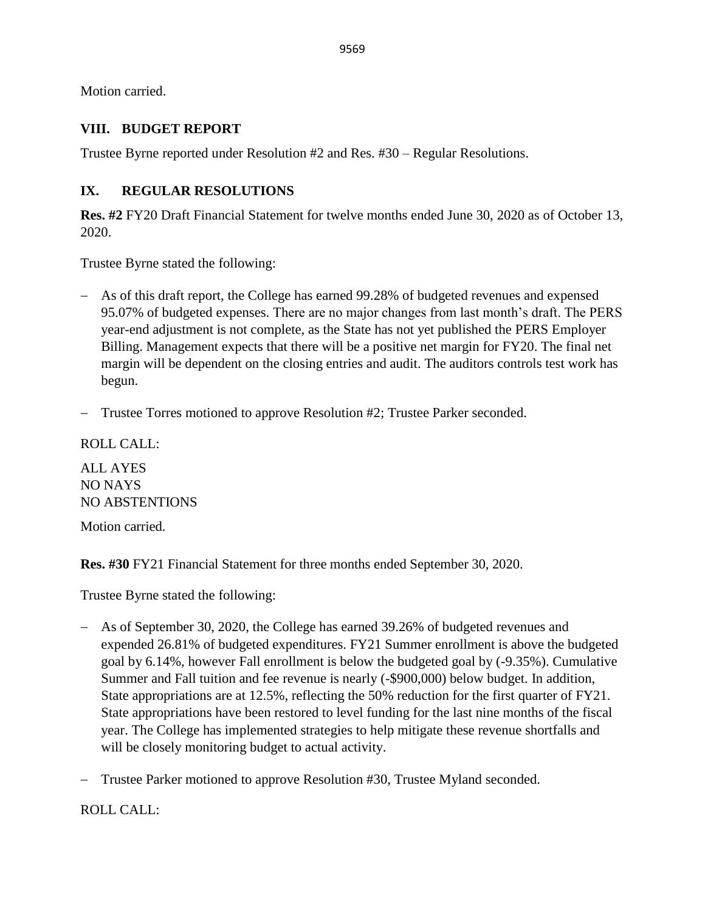Motion carried.

## **VIII. BUDGET REPORT**

Trustee Byrne reported under Resolution #2 and Res. #30 – Regular Resolutions.

# **IX. REGULAR RESOLUTIONS**

**Res. #2** FY20 Draft Financial Statement for twelve months ended June 30, 2020 as of October 13, 2020.

Trustee Byrne stated the following:

- − As of this draft report, the College has earned 99.28% of budgeted revenues and expensed 95.07% of budgeted expenses. There are no major changes from last month's draft. The PERS year-end adjustment is not complete, as the State has not yet published the PERS Employer Billing. Management expects that there will be a positive net margin for FY20. The final net margin will be dependent on the closing entries and audit. The auditors controls test work has begun.
- − Trustee Torres motioned to approve Resolution #2; Trustee Parker seconded.

ROLL CALL: ALL AYES NO NAYS NO ABSTENTIONS Motion carried.

**Res. #30** FY21 Financial Statement for three months ended September 30, 2020.

Trustee Byrne stated the following:

- − As of September 30, 2020, the College has earned 39.26% of budgeted revenues and expended 26.81% of budgeted expenditures. FY21 Summer enrollment is above the budgeted goal by 6.14%, however Fall enrollment is below the budgeted goal by (-9.35%). Cumulative Summer and Fall tuition and fee revenue is nearly (-\$900,000) below budget. In addition, State appropriations are at 12.5%, reflecting the 50% reduction for the first quarter of FY21. State appropriations have been restored to level funding for the last nine months of the fiscal year. The College has implemented strategies to help mitigate these revenue shortfalls and will be closely monitoring budget to actual activity.
- − Trustee Parker motioned to approve Resolution #30, Trustee Myland seconded.

ROLL CALL: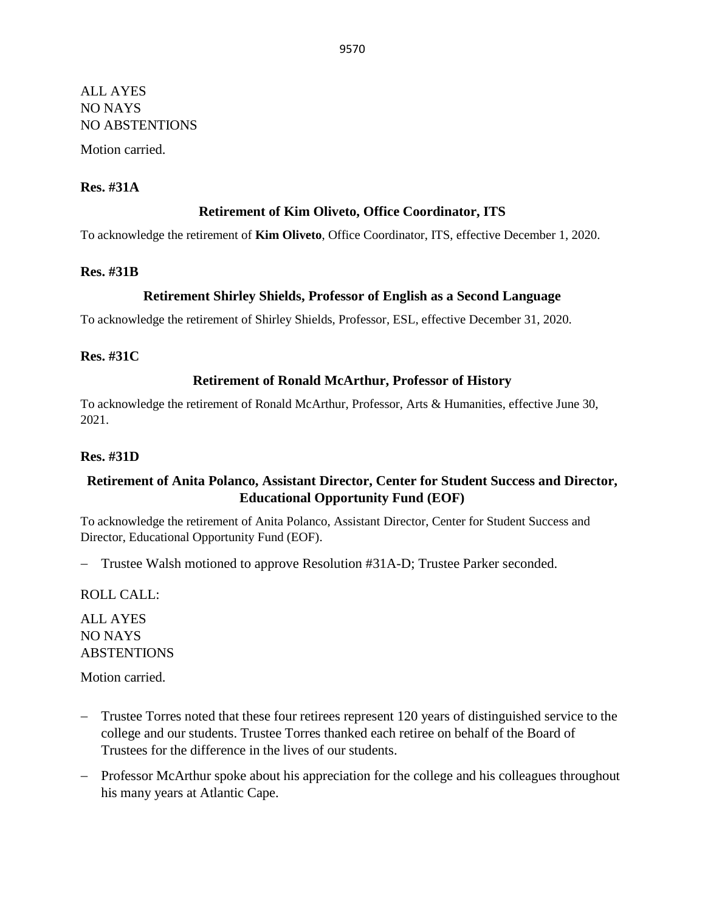# ALL AYES NO NAYS NO ABSTENTIONS Motion carried.

### **Res. #31A**

### **Retirement of Kim Oliveto, Office Coordinator, ITS**

To acknowledge the retirement of **Kim Oliveto**, Office Coordinator, ITS, effective December 1, 2020.

#### **Res. #31B**

### **Retirement Shirley Shields, Professor of English as a Second Language**

To acknowledge the retirement of Shirley Shields, Professor, ESL, effective December 31, 2020.

#### **Res. #31C**

### **Retirement of Ronald McArthur, Professor of History**

To acknowledge the retirement of Ronald McArthur, Professor, Arts & Humanities, effective June 30, 2021.

#### **Res. #31D**

## **Retirement of Anita Polanco, Assistant Director, Center for Student Success and Director, Educational Opportunity Fund (EOF)**

To acknowledge the retirement of Anita Polanco, Assistant Director, Center for Student Success and Director, Educational Opportunity Fund (EOF).

− Trustee Walsh motioned to approve Resolution #31A-D; Trustee Parker seconded.

ROLL CALL:

ALL AYES NO NAYS ABSTENTIONS

Motion carried.

- − Trustee Torres noted that these four retirees represent 120 years of distinguished service to the college and our students. Trustee Torres thanked each retiree on behalf of the Board of Trustees for the difference in the lives of our students.
- − Professor McArthur spoke about his appreciation for the college and his colleagues throughout his many years at Atlantic Cape.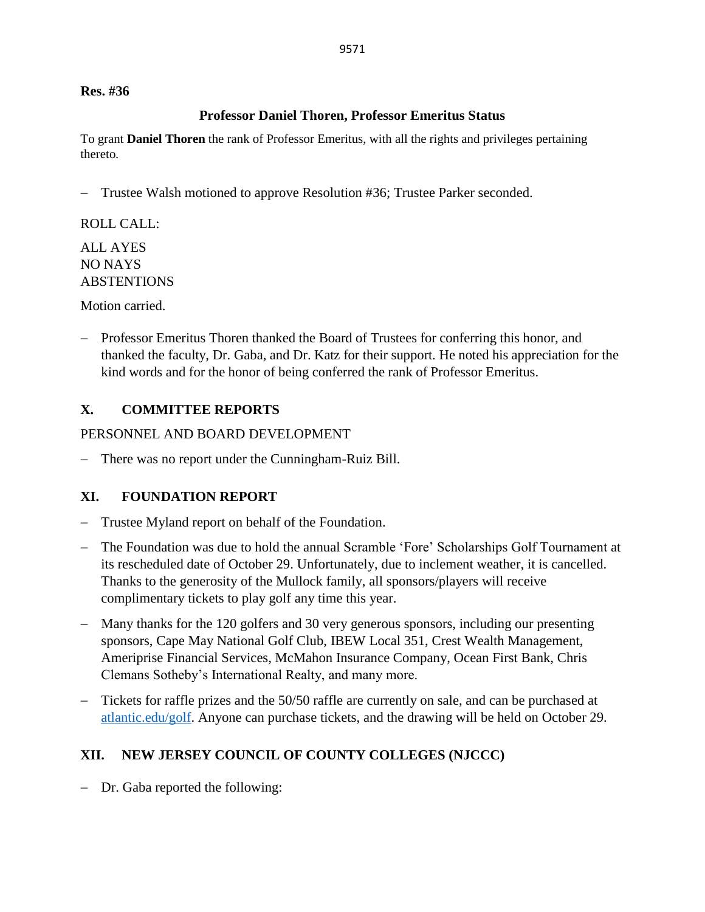**Res. #36**

## **Professor Daniel Thoren, Professor Emeritus Status**

To grant **Daniel Thoren** the rank of Professor Emeritus, with all the rights and privileges pertaining thereto.

− Trustee Walsh motioned to approve Resolution #36; Trustee Parker seconded.

ROLL CALL:

ALL AYES NO NAYS ABSTENTIONS

Motion carried.

− Professor Emeritus Thoren thanked the Board of Trustees for conferring this honor, and thanked the faculty, Dr. Gaba, and Dr. Katz for their support. He noted his appreciation for the kind words and for the honor of being conferred the rank of Professor Emeritus.

# **X. COMMITTEE REPORTS**

PERSONNEL AND BOARD DEVELOPMENT

− There was no report under the Cunningham-Ruiz Bill.

# **XI. FOUNDATION REPORT**

- − Trustee Myland report on behalf of the Foundation.
- − The Foundation was due to hold the annual Scramble 'Fore' Scholarships Golf Tournament at its rescheduled date of October 29. Unfortunately, due to inclement weather, it is cancelled. Thanks to the generosity of the Mullock family, all sponsors/players will receive complimentary tickets to play golf any time this year.
- − Many thanks for the 120 golfers and 30 very generous sponsors, including our presenting sponsors, Cape May National Golf Club, IBEW Local 351, Crest Wealth Management, Ameriprise Financial Services, McMahon Insurance Company, Ocean First Bank, Chris Clemans Sotheby's International Realty, and many more.
- − Tickets for raffle prizes and the 50/50 raffle are currently on sale, and can be purchased at [atlantic.edu/golf.](file://///summit.ds.atlantic.edu/share/President/Board%20of%20Trustees%20(BOT)/BOT/Board%20Packet/FY%202021/November/atlantic.edu/golf) Anyone can purchase tickets, and the drawing will be held on October 29.

# **XII. NEW JERSEY COUNCIL OF COUNTY COLLEGES (NJCCC)**

− Dr. Gaba reported the following: